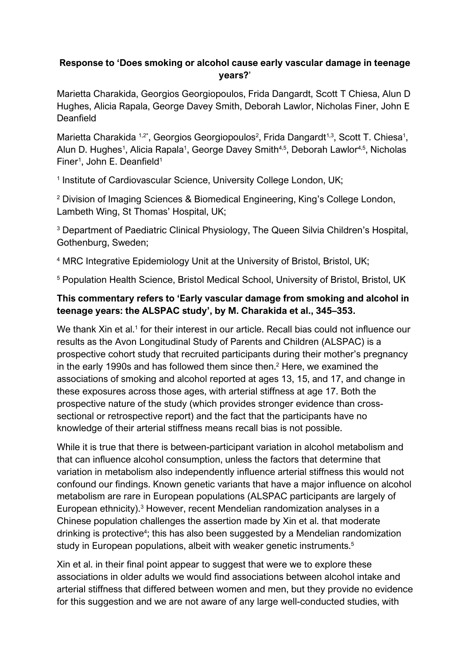## **Response to 'Does smoking or alcohol cause early vascular damage in teenage years?**'

Marietta Charakida, Georgios Georgiopoulos, Frida Dangardt, Scott T Chiesa, Alun D Hughes, Alicia Rapala, George Davey Smith, Deborah Lawlor, Nicholas Finer, John E **Deanfield** 

Marietta Charakida <sup>1,2\*</sup>, Georgios Georgiopoulos<sup>2</sup>, Frida Dangardt<sup>1,3</sup>, Scott T. Chiesa<sup>1</sup>, Alun D. Hughes<sup>1</sup>, Alicia Rapala<sup>1</sup>, George Davey Smith<sup>4,5</sup>, Deborah Lawlor<sup>4,5</sup>, Nicholas Finer<sup>1</sup>, John E. Deanfield<sup>1</sup>

<sup>1</sup> Institute of Cardiovascular Science, University College London, UK;

<sup>2</sup> Division of Imaging Sciences & Biomedical Engineering, King's College London, Lambeth Wing, St Thomas' Hospital, UK;

<sup>3</sup> Department of Paediatric Clinical Physiology, The Queen Silvia Children's Hospital, Gothenburg, Sweden;

<sup>4</sup> MRC Integrative Epidemiology Unit at the University of Bristol, Bristol, UK;

<sup>5</sup> Population Health Science, Bristol Medical School, University of Bristol, Bristol, UK

## **This commentary refers to 'Early vascular damage from smoking and alcohol in teenage years: the ALSPAC study', by M. Charakida et al., 345–353.**

We thank Xin et al.<sup>1</sup> for their interest in our article. Recall bias could not influence our results as the Avon Longitudinal Study of Parents and Children (ALSPAC) is a prospective cohort study that recruited participants during their mother's pregnancy in the early 1990s and has followed them since then.<sup>2</sup> Here, we examined the associations of smoking and alcohol reported at ages 13, 15, and 17, and change in these exposures across those ages, with arterial stiffness at age 17. Both the prospective nature of the study (which provides stronger evidence than crosssectional or retrospective report) and the fact that the participants have no knowledge of their arterial stiffness means recall bias is not possible.

While it is true that there is between-participant variation in alcohol metabolism and that can influence alcohol consumption, unless the factors that determine that variation in metabolism also independently influence arterial stiffness this would not confound our findings. Known genetic variants that have a major influence on alcohol metabolism are rare in European populations (ALSPAC participants are largely of European ethnicity).3 However, recent Mendelian randomization analyses in a Chinese population challenges the assertion made by Xin et al. that moderate drinking is protective<sup>4</sup>; this has also been suggested by a Mendelian randomization study in European populations, albeit with weaker genetic instruments.<sup>5</sup>

Xin et al. in their final point appear to suggest that were we to explore these associations in older adults we would find associations between alcohol intake and arterial stiffness that differed between women and men, but they provide no evidence for this suggestion and we are not aware of any large well-conducted studies, with